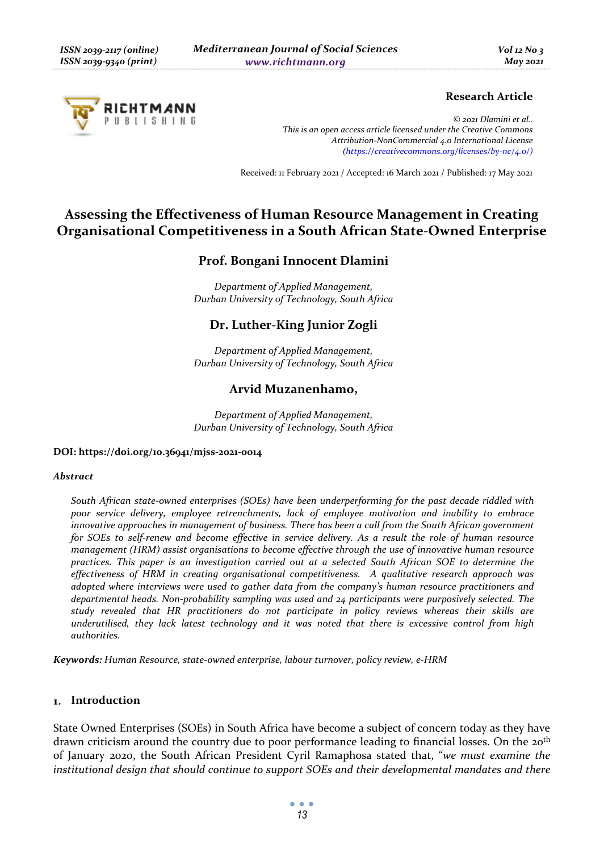

# **Research Article**

*© 2021 Dlamini et al.. This is an open access article licensed under the Creative Commons Attribution-NonCommercial 4.0 International License (https://creativecommons.org/licenses/by-nc/4.0/)*

Received: 11 February 2021 / Accepted: 16 March 2021 / Published: 17 May 2021

# **Assessing the Effectiveness of Human Resource Management in Creating Organisational Competitiveness in a South African State-Owned Enterprise**

# **Prof. Bongani Innocent Dlamini**

*Department of Applied Management, Durban University of Technology, South Africa* 

# **Dr. Luther-King Junior Zogli**

*Department of Applied Management, Durban University of Technology, South Africa* 

### **Arvid Muzanenhamo,**

*Department of Applied Management, Durban University of Technology, South Africa* 

### **DOI: https://doi.org/10.36941/mjss-2021-0014**

#### *Abstract*

*South African state-owned enterprises (SOEs) have been underperforming for the past decade riddled with poor service delivery, employee retrenchments, lack of employee motivation and inability to embrace innovative approaches in management of business. There has been a call from the South African government for SOEs to self-renew and become effective in service delivery. As a result the role of human resource management (HRM) assist organisations to become effective through the use of innovative human resource practices. This paper is an investigation carried out at a selected South African SOE to determine the effectiveness of HRM in creating organisational competitiveness. A qualitative research approach was adopted where interviews were used to gather data from the company's human resource practitioners and departmental heads. Non-probability sampling was used and 24 participants were purposively selected. The study revealed that HR practitioners do not participate in policy reviews whereas their skills are underutilised, they lack latest technology and it was noted that there is excessive control from high authorities.* 

*Keywords: Human Resource, state-owned enterprise, labour turnover, policy review, e-HRM* 

### **Introduction**

State Owned Enterprises (SOEs) in South Africa have become a subject of concern today as they have drawn criticism around the country due to poor performance leading to financial losses. On the 20<sup>th</sup> of January 2020, the South African President Cyril Ramaphosa stated that, "*we must examine the institutional design that should continue to support SOEs and their developmental mandates and there*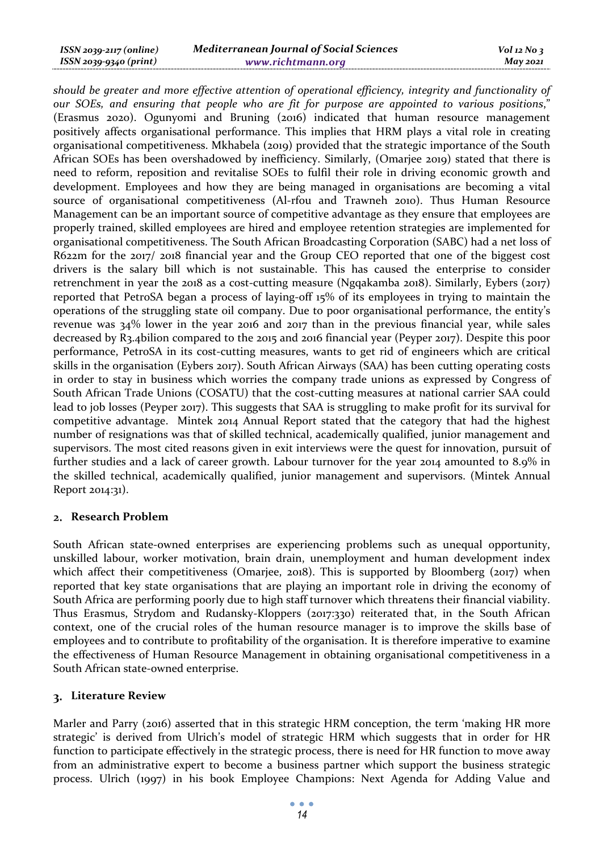| ISSN 2039-2117 (online) | <b>Mediterranean Journal of Social Sciences</b> | $Vol$ 12 No 3 |
|-------------------------|-------------------------------------------------|---------------|
| ISSN 2039-9340 (print)  | www.richtmann.org                               | May 2021      |

*should be greater and more effective attention of operational efficiency, integrity and functionality of our SOEs, and ensuring that people who are fit for purpose are appointed to various positions*," (Erasmus 2020). Ogunyomi and Bruning (2016) indicated that human resource management positively affects organisational performance. This implies that HRM plays a vital role in creating organisational competitiveness. Mkhabela (2019) provided that the strategic importance of the South African SOEs has been overshadowed by inefficiency. Similarly, (Omarjee 2019) stated that there is need to reform, reposition and revitalise SOEs to fulfil their role in driving economic growth and development. Employees and how they are being managed in organisations are becoming a vital source of organisational competitiveness (Al-rfou and Trawneh 2010). Thus Human Resource Management can be an important source of competitive advantage as they ensure that employees are properly trained, skilled employees are hired and employee retention strategies are implemented for organisational competitiveness. The South African Broadcasting Corporation (SABC) had a net loss of R622m for the 2017/ 2018 financial year and the Group CEO reported that one of the biggest cost drivers is the salary bill which is not sustainable. This has caused the enterprise to consider retrenchment in year the 2018 as a cost-cutting measure (Ngqakamba 2018). Similarly, Eybers (2017) reported that PetroSA began a process of laying-off 15% of its employees in trying to maintain the operations of the struggling state oil company. Due to poor organisational performance, the entity's revenue was 34% lower in the year 2016 and 2017 than in the previous financial year, while sales decreased by R3.4bilion compared to the 2015 and 2016 financial year (Peyper 2017). Despite this poor performance, PetroSA in its cost-cutting measures, wants to get rid of engineers which are critical skills in the organisation (Eybers 2017). South African Airways (SAA) has been cutting operating costs in order to stay in business which worries the company trade unions as expressed by Congress of South African Trade Unions (COSATU) that the cost-cutting measures at national carrier SAA could lead to job losses (Peyper 2017). This suggests that SAA is struggling to make profit for its survival for competitive advantage. Mintek 2014 Annual Report stated that the category that had the highest number of resignations was that of skilled technical, academically qualified, junior management and supervisors. The most cited reasons given in exit interviews were the quest for innovation, pursuit of further studies and a lack of career growth. Labour turnover for the year 2014 amounted to 8.9% in the skilled technical, academically qualified, junior management and supervisors. (Mintek Annual Report 2014:31).

### **Research Problem**

South African state-owned enterprises are experiencing problems such as unequal opportunity, unskilled labour, worker motivation, brain drain, unemployment and human development index which affect their competitiveness (Omarjee, 2018). This is supported by Bloomberg (2017) when reported that key state organisations that are playing an important role in driving the economy of South Africa are performing poorly due to high staff turnover which threatens their financial viability. Thus Erasmus, Strydom and Rudansky-Kloppers (2017:330) reiterated that, in the South African context, one of the crucial roles of the human resource manager is to improve the skills base of employees and to contribute to profitability of the organisation. It is therefore imperative to examine the effectiveness of Human Resource Management in obtaining organisational competitiveness in a South African state-owned enterprise.

### **Literature Review**

Marler and Parry (2016) asserted that in this strategic HRM conception, the term 'making HR more strategic' is derived from Ulrich's model of strategic HRM which suggests that in order for HR function to participate effectively in the strategic process, there is need for HR function to move away from an administrative expert to become a business partner which support the business strategic process. Ulrich (1997) in his book Employee Champions: Next Agenda for Adding Value and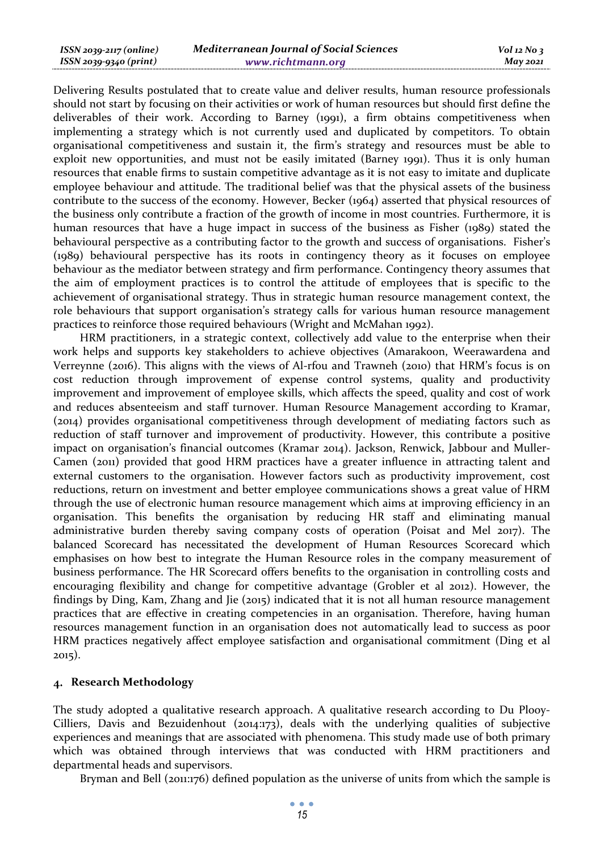| ISSN 2039-2117 (online) | <b>Mediterranean Journal of Social Sciences</b> | $Vol$ 12 $No$ 3 |
|-------------------------|-------------------------------------------------|-----------------|
| ISSN 2039-9340 (print)  | www.richtmann.org                               | <b>May 2021</b> |

Delivering Results postulated that to create value and deliver results, human resource professionals should not start by focusing on their activities or work of human resources but should first define the deliverables of their work. According to Barney (1991), a firm obtains competitiveness when implementing a strategy which is not currently used and duplicated by competitors. To obtain organisational competitiveness and sustain it, the firm's strategy and resources must be able to exploit new opportunities, and must not be easily imitated (Barney 1991). Thus it is only human resources that enable firms to sustain competitive advantage as it is not easy to imitate and duplicate employee behaviour and attitude. The traditional belief was that the physical assets of the business contribute to the success of the economy. However, Becker (1964) asserted that physical resources of the business only contribute a fraction of the growth of income in most countries. Furthermore, it is human resources that have a huge impact in success of the business as Fisher (1989) stated the behavioural perspective as a contributing factor to the growth and success of organisations. Fisher's (1989) behavioural perspective has its roots in contingency theory as it focuses on employee behaviour as the mediator between strategy and firm performance. Contingency theory assumes that the aim of employment practices is to control the attitude of employees that is specific to the achievement of organisational strategy. Thus in strategic human resource management context, the role behaviours that support organisation's strategy calls for various human resource management practices to reinforce those required behaviours (Wright and McMahan 1992).

HRM practitioners, in a strategic context, collectively add value to the enterprise when their work helps and supports key stakeholders to achieve objectives (Amarakoon, Weerawardena and Verreynne (2016). This aligns with the views of Al-rfou and Trawneh (2010) that HRM's focus is on cost reduction through improvement of expense control systems, quality and productivity improvement and improvement of employee skills, which affects the speed, quality and cost of work and reduces absenteeism and staff turnover. Human Resource Management according to Kramar, (2014) provides organisational competitiveness through development of mediating factors such as reduction of staff turnover and improvement of productivity. However, this contribute a positive impact on organisation's financial outcomes (Kramar 2014). Jackson, Renwick, Jabbour and Muller-Camen (2011) provided that good HRM practices have a greater influence in attracting talent and external customers to the organisation. However factors such as productivity improvement, cost reductions, return on investment and better employee communications shows a great value of HRM through the use of electronic human resource management which aims at improving efficiency in an organisation. This benefits the organisation by reducing HR staff and eliminating manual administrative burden thereby saving company costs of operation (Poisat and Mel 2017). The balanced Scorecard has necessitated the development of Human Resources Scorecard which emphasises on how best to integrate the Human Resource roles in the company measurement of business performance. The HR Scorecard offers benefits to the organisation in controlling costs and encouraging flexibility and change for competitive advantage (Grobler et al 2012). However, the findings by Ding, Kam, Zhang and Jie (2015) indicated that it is not all human resource management practices that are effective in creating competencies in an organisation. Therefore, having human resources management function in an organisation does not automatically lead to success as poor HRM practices negatively affect employee satisfaction and organisational commitment (Ding et al 2015).

### **Research Methodology**

The study adopted a qualitative research approach. A qualitative research according to Du Plooy-Cilliers, Davis and Bezuidenhout (2014:173), deals with the underlying qualities of subjective experiences and meanings that are associated with phenomena. This study made use of both primary which was obtained through interviews that was conducted with HRM practitioners and departmental heads and supervisors.

Bryman and Bell (2011:176) defined population as the universe of units from which the sample is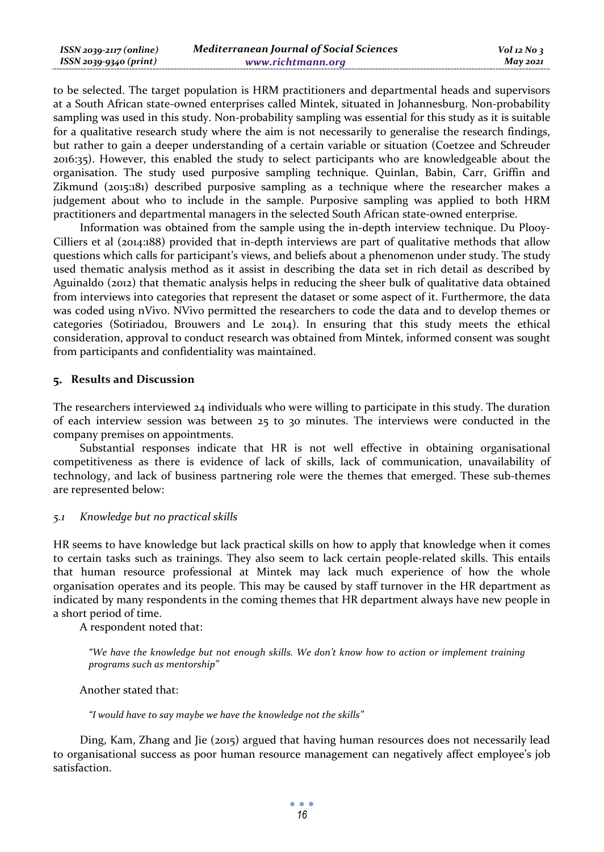| ISSN 2039-2117 (online) | <b>Mediterranean Journal of Social Sciences</b> | $Vol$ 12 No 3   |
|-------------------------|-------------------------------------------------|-----------------|
| ISSN 2039-9340 (print)  | www.richtmann.org                               | <b>May 2021</b> |

to be selected. The target population is HRM practitioners and departmental heads and supervisors at a South African state-owned enterprises called Mintek, situated in Johannesburg. Non-probability sampling was used in this study. Non-probability sampling was essential for this study as it is suitable for a qualitative research study where the aim is not necessarily to generalise the research findings, but rather to gain a deeper understanding of a certain variable or situation (Coetzee and Schreuder 2016:35). However, this enabled the study to select participants who are knowledgeable about the organisation. The study used purposive sampling technique. Quinlan, Babin, Carr, Griffin and Zikmund (2015:181) described purposive sampling as a technique where the researcher makes a judgement about who to include in the sample. Purposive sampling was applied to both HRM practitioners and departmental managers in the selected South African state-owned enterprise.

Information was obtained from the sample using the in-depth interview technique. Du Plooy-Cilliers et al (2014:188) provided that in-depth interviews are part of qualitative methods that allow questions which calls for participant's views, and beliefs about a phenomenon under study. The study used thematic analysis method as it assist in describing the data set in rich detail as described by Aguinaldo (2012) that thematic analysis helps in reducing the sheer bulk of qualitative data obtained from interviews into categories that represent the dataset or some aspect of it. Furthermore, the data was coded using nVivo. NVivo permitted the researchers to code the data and to develop themes or categories (Sotiriadou, Brouwers and Le 2014). In ensuring that this study meets the ethical consideration, approval to conduct research was obtained from Mintek, informed consent was sought from participants and confidentiality was maintained.

### **Results and Discussion**

The researchers interviewed 24 individuals who were willing to participate in this study. The duration of each interview session was between 25 to 30 minutes. The interviews were conducted in the company premises on appointments.

Substantial responses indicate that HR is not well effective in obtaining organisational competitiveness as there is evidence of lack of skills, lack of communication, unavailability of technology, and lack of business partnering role were the themes that emerged. These sub-themes are represented below:

### *5.1 Knowledge but no practical skills*

HR seems to have knowledge but lack practical skills on how to apply that knowledge when it comes to certain tasks such as trainings. They also seem to lack certain people-related skills. This entails that human resource professional at Mintek may lack much experience of how the whole organisation operates and its people. This may be caused by staff turnover in the HR department as indicated by many respondents in the coming themes that HR department always have new people in a short period of time.

A respondent noted that:

*"We have the knowledge but not enough skills. We don't know how to action or implement training programs such as mentorship"* 

Another stated that:

*"I would have to say maybe we have the knowledge not the skills"* 

Ding, Kam, Zhang and Jie (2015) argued that having human resources does not necessarily lead to organisational success as poor human resource management can negatively affect employee's job satisfaction.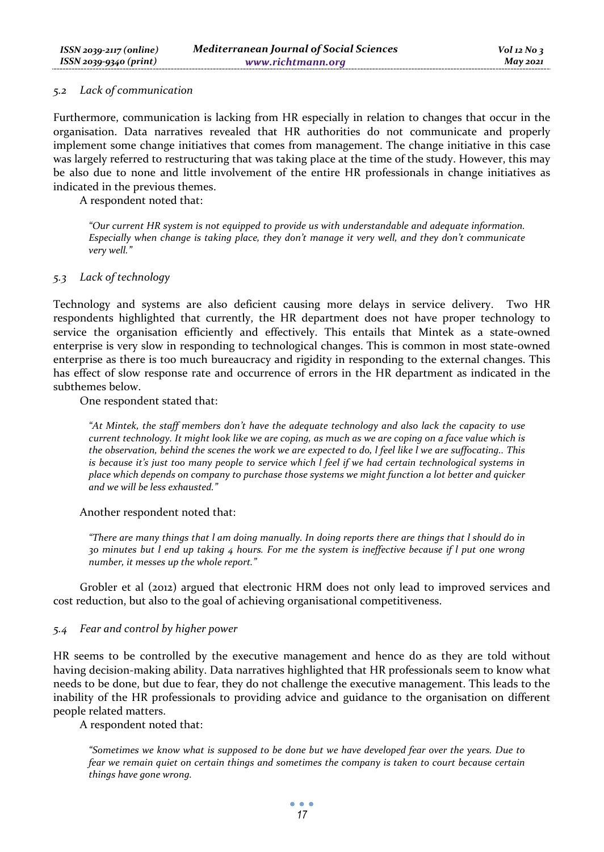#### *5.2 Lack of communication*

Furthermore, communication is lacking from HR especially in relation to changes that occur in the organisation. Data narratives revealed that HR authorities do not communicate and properly implement some change initiatives that comes from management. The change initiative in this case was largely referred to restructuring that was taking place at the time of the study. However, this may be also due to none and little involvement of the entire HR professionals in change initiatives as indicated in the previous themes.

A respondent noted that:

*"Our current HR system is not equipped to provide us with understandable and adequate information. Especially when change is taking place, they don't manage it very well, and they don't communicate very well."* 

### *5.3 Lack of technology*

Technology and systems are also deficient causing more delays in service delivery. Two HR respondents highlighted that currently, the HR department does not have proper technology to service the organisation efficiently and effectively. This entails that Mintek as a state-owned enterprise is very slow in responding to technological changes. This is common in most state-owned enterprise as there is too much bureaucracy and rigidity in responding to the external changes. This has effect of slow response rate and occurrence of errors in the HR department as indicated in the subthemes below.

One respondent stated that:

*"At Mintek, the staff members don't have the adequate technology and also lack the capacity to use current technology. It might look like we are coping, as much as we are coping on a face value which is the observation, behind the scenes the work we are expected to do, l feel like l we are suffocating.. This is because it's just too many people to service which l feel if we had certain technological systems in place which depends on company to purchase those systems we might function a lot better and quicker and we will be less exhausted."* 

### Another respondent noted that:

*"There are many things that l am doing manually. In doing reports there are things that l should do in 30 minutes but l end up taking 4 hours. For me the system is ineffective because if l put one wrong number, it messes up the whole report."* 

Grobler et al (2012) argued that electronic HRM does not only lead to improved services and cost reduction, but also to the goal of achieving organisational competitiveness.

### *5.4 Fear and control by higher power*

HR seems to be controlled by the executive management and hence do as they are told without having decision-making ability. Data narratives highlighted that HR professionals seem to know what needs to be done, but due to fear, they do not challenge the executive management. This leads to the inability of the HR professionals to providing advice and guidance to the organisation on different people related matters.

A respondent noted that:

*"Sometimes we know what is supposed to be done but we have developed fear over the years. Due to fear we remain quiet on certain things and sometimes the company is taken to court because certain things have gone wrong.*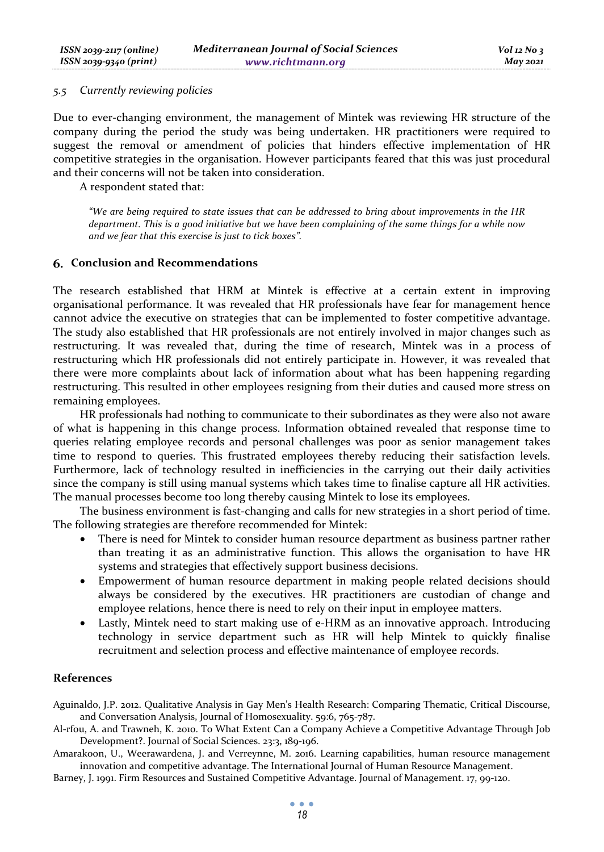### *5.5 Currently reviewing policies*

Due to ever-changing environment, the management of Mintek was reviewing HR structure of the company during the period the study was being undertaken. HR practitioners were required to suggest the removal or amendment of policies that hinders effective implementation of HR competitive strategies in the organisation. However participants feared that this was just procedural and their concerns will not be taken into consideration.

A respondent stated that:

*"We are being required to state issues that can be addressed to bring about improvements in the HR department. This is a good initiative but we have been complaining of the same things for a while now and we fear that this exercise is just to tick boxes".* 

### **Conclusion and Recommendations**

The research established that HRM at Mintek is effective at a certain extent in improving organisational performance. It was revealed that HR professionals have fear for management hence cannot advice the executive on strategies that can be implemented to foster competitive advantage. The study also established that HR professionals are not entirely involved in major changes such as restructuring. It was revealed that, during the time of research, Mintek was in a process of restructuring which HR professionals did not entirely participate in. However, it was revealed that there were more complaints about lack of information about what has been happening regarding restructuring. This resulted in other employees resigning from their duties and caused more stress on remaining employees.

HR professionals had nothing to communicate to their subordinates as they were also not aware of what is happening in this change process. Information obtained revealed that response time to queries relating employee records and personal challenges was poor as senior management takes time to respond to queries. This frustrated employees thereby reducing their satisfaction levels. Furthermore, lack of technology resulted in inefficiencies in the carrying out their daily activities since the company is still using manual systems which takes time to finalise capture all HR activities. The manual processes become too long thereby causing Mintek to lose its employees.

The business environment is fast-changing and calls for new strategies in a short period of time. The following strategies are therefore recommended for Mintek:

- There is need for Mintek to consider human resource department as business partner rather than treating it as an administrative function. This allows the organisation to have HR systems and strategies that effectively support business decisions.
- Empowerment of human resource department in making people related decisions should always be considered by the executives. HR practitioners are custodian of change and employee relations, hence there is need to rely on their input in employee matters.
- Lastly, Mintek need to start making use of e-HRM as an innovative approach. Introducing technology in service department such as HR will help Mintek to quickly finalise recruitment and selection process and effective maintenance of employee records.

#### **References**

Aguinaldo, J.P. 2012. Qualitative Analysis in Gay Men's Health Research: Comparing Thematic, Critical Discourse, and Conversation Analysis, Journal of Homosexuality. 59:6, 765-787.

Al-rfou, A. and Trawneh, K. 2010. To What Extent Can a Company Achieve a Competitive Advantage Through Job Development?. Journal of Social Sciences. 23:3, 189-196.

Amarakoon, U., Weerawardena, J. and Verreynne, M. 2016. Learning capabilities, human resource management innovation and competitive advantage. The International Journal of Human Resource Management.

Barney, J. 1991. Firm Resources and Sustained Competitive Advantage. Journal of Management. 17, 99-120.